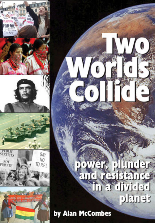

power, plunder<br>and resistance<br>in a divided denalq

 $\pmb{\theta}$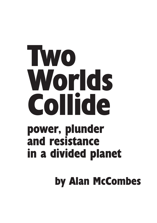# **Two Worlds Collide power, plunder and resistance in a divided planet**

**by Alan McCombes**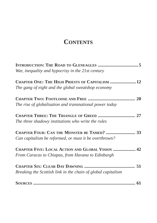#### **CONTENTS**

| <b>CHAPTER ONE: THE HIGH PRIESTS OF CAPITALISM  12</b> |
|--------------------------------------------------------|
|                                                        |
|                                                        |
|                                                        |
|                                                        |
|                                                        |
| CHAPTER FOUR: CAN THE MONSTER BE TAMED?  33            |
|                                                        |
| CHAPTER FIVE: LOCAL ACTION AND GLOBAL VISION  42       |
|                                                        |
|                                                        |
|                                                        |
| 61                                                     |
|                                                        |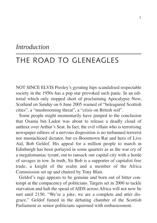#### *Introduction*

### THE ROAD TO GLENEAGLES

NOT SINCE ELVIS Presley's gyrating hips scandalised respectable society in the 1950s has a pop star provoked such panic. In an editorial which only stopped short of proclaiming Apocalypse Now, *Scotland on Sunday* on 6 June 2005 warned of "beleagured Scottish cities", a "mushrooming threat", a "crisis on British soil".

Some people might momentarily have jumped to the conclusion that Osama bin Laden was about to release a deadly cloud of anthrax over Arthur's Seat. In fact, the evil villain who is terrorising newspaper editors of a nervous disposition is no turbanned terrorist nor mustachioed dictator, but ex-Boomtown Rat and hero of Live Aid, Bob Geldof. His appeal for a million people to march in Edinburgh has been portayed in some quarters as as the war cry of a megalomaniac tyrant, out to ransack our capital city with a horde of savages in tow. In truth, Sir Bob is a supporter of capitalist free trade, a knight of the realm and a member of the Africa Commission set up and chaired by Tony Blair.

Geldof's rage appears to be genuine and born out of bitter contempt at the compacency of politicians. Targets set in 2000 to tackle starvation and halt the spead of AIDS across Africa will not now be met until 2150. "We're a joke, we are a complete and utter disgrace," Geldof fumed in the debating chamber of the Scottish Parliament as senior politicians squirmed with embarassment.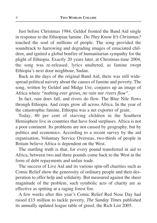Just before Christmas 1984, Geldof fronted the Band Aid single in response to the Ethiopian famine. *Do They Know It's Christmas?* touched the soul of millions of people. The song provided the soundtrack to harrowing and degrading images of emaciated children, and ignited a global bonfire of humanitarian sympathy for the plight of Ethiopia. Exactly 20 years later, at Christmas-time 2004, the song was re-released, lyrics unaltered, as famine swept Ethiopia's next door neighbour, Sudan.

Back in the days of the original Band Aid, there was still widespread political naivety about the causes of famine and poverty. The song, written by Geldof and Midge Ure, conjures up an image of Africa where *"nothing ever grows, no rain nor rivers flow"*.

In fact, rain does fall, and rivers do flow. The Blue Nile flows through Ethiopia. And crops grow all across Africa. In the year of the catastrophic famine, Ethiopia was a net exporter of grain.

Today, 80 per cent of starving children in the Southern Hemisphere live in countries that have food surpluses. Africa is not a poor continent. Its problems are not caused by geography, but by politics and economics. According to a recent survey by the aid organisation, Voluntary Service Overseas, two-thirds of people in Britain believe Africa is dependent on the West.

The startling truth is that, for every pound transferred in aid to Africa, between two and three pounds come back to the West in the form of debt repayments and unfair trade.

The success of Live Aid and its various spin-off charities such as Comic Relief show the generosity of ordinary people and their desperation to offer help and solidarity. But measured against the sheer magnitude of the problem, such symbolic acts of charity are as effective as spitting at a raging forest fire.

A few weeks after this year's Comic Relief Red Nose Day had raised £15 million to tackle poverty, *The Sunday Times* published its annually updated league table of greed, the Rich List 2005.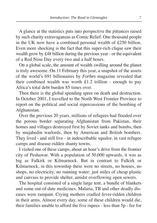A glance at the statistics puts into perspective the pittances raised by such charity extravaganzas as Comic Relief. One thousand people in the UK now have a combined personal wealth of £250 billion. Even more shocking is the fact that this super-rich clique saw their wealth grow by £48 billion during the previous year - or the equivalent of a Red Nose Day every two and a half hours.

On a global scale, the amount of wealth swilling around the planet is truly awesome. On 11 February this year, a snapshot of the assets of the world's 691 billionaires by *Forbes* magazine revealed that their combined wealth was worth  $£1.2$  trillion - enough to pay Africa's total debt burden 85 times over.

Then there is the global spending spree on death and destruction. In October 2001, I travelled to the North West Frontier Province to report on the political and social repercussions of the bombing of Afghanistan.

Over the previous 20 years, millions of refugees had flooded over the porous border separating Afghanistan from Pakistan, their homes and villages destroyed first by Soviet tanks and bombs, then by mujahedin warlords, then by American and British bombers. They lived - and still live - in indescribable squalor, in vast refugee camps and disease-ridden shanty towns.

I visited one of these camps, about an hour's drive from the frontier city of Peshawar. With a population of 50,000 upwards, it was as big as Falkirk or Kilmarnock. But in contrast to Falkirk or Kilmarnock, in this township there were no streets, no houses, no shops, no electricity, no running water; just miles of cheap plastic and canvass to provide shelter, amidst overflowing open sewers.

The hospital consisted of a single large tent, a bundle of blankets and some out-of-date medicines. Malaria, TB and other deadly diseases were rampant. Crying mothers cradled fever-ridden children in their arms. Almost every day, some of these children would die, their families unable to afford the five rupees - less than 5p - fee for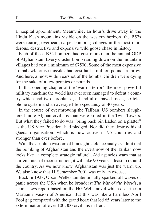a hospital appointment. Meanwhile, an hour's drive away in the Hindu Kush mountains visible on the western horizon, the B52s were roaring overhead, carpet bombing villages in the most murderous, destructive and expensive wild goose chase in history.

Each of these B52 bombers had cost more than the annual GDP of Afghanistan. Every cluster bomb raining down on the mountain villages had cost a minimum of £7500. Some of the most expensive Tomahawk cruise missiles had cost half a million pounds a throw. And here, almost within earshot of the bombs, children were dying for the sake of a few pennies or pounds.

In that opening chapter of the 'war on terror', the most powerful military machine the world has ever seen managed to defeat a country which had two aeroplanes, a handful of paved roads, no telephone system and an average life expectancy of 40 years.

In the course of overthrowing the Taliban, US bombers slaughtered more Afghan civilians than were killed in the Twin Towers. But what they failed to do was "bring back bin Laden on a platter" as the US Vice President had pledged. Nor did they destroy his al Qaeda organisation, which is now active in 95 countries and stronger than ever before.

With the absolute wisdom of hindsight, defence analysts admit that the bombing of Afghanistan and the overthrow of the Taliban now looks like "a complete strategic failure". Aid agencies warn that at current rates of reconstruction, it will take 90 years at least to rebuild the country. As we now know, Afghanistan was just the warm up. We also know that 11 September 2001 was only an excuse.

Back in 1938, Orson Welles unintentionally sparked off waves of panic across the USA when he broadcast *The War of the Worlds*, a spoof news report based on the HG Wells novel which describes a Martian invasion of America. But this was like a harmless April Fool gag compared with the grand hoax that led 65 years later to the extermination of over 100,000 civilians in Iraq.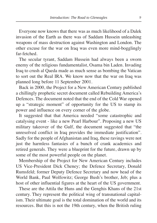Everyone now knows that there was as much likelihood of a Dalek invasion of the Earth as there was of Saddam Hussein unleashing weapons of mass destruction against Washington and London. The other excuse for the war on Iraq was even more mind-bogglingly far-fetched.

The secular tyrant, Saddam Hussein had always been a sworn enemy of the religious fundamentalist, Osama bin Laden. Invading Iraq to crush al Qaeda made as much sense as bombing the Vatican to sort out the Real IRA. We know now that the war on Iraq was planned long before 11 September 2001.

Back in 2000, the Project for a New American Century published a chillingly prophetic secret document called Rebuilding America's Defences. The document noted that the end of the Cold War opened up a "strategic moment" of opportunity for the US to stamp its power and influence on every corner of the globe.

It suggested that that America needed "some catastrophic and catalysing event - like a new Pearl Harbour". Proposing a new US military takeover of the Gulf, the document suggested that "the unresolved conflict in Iraq provides the immediate justification". Sadly for the people of Afghanistan and Iraq, these ravings were not just the harmless fantasies of a bunch of crank academics and retired generals. They were a blueprint for the future, drawn up by some of the most powerful people on the planet.

Membership of the Project for New American Century includes US Vice-President Dick Cheney; the Defence Secretary, Donald Rumsfeld; former Deputy Defence Secretary and now head of the World Bank, Paul Wolfowitz; George Bush's brother, Jeb; plus a host of other influential figures at the heart of the US government.

These are the Attila the Huns and the Genghis Khans of the 21st century. They represent the political wing of transnational capitalism. Their ultimate goal is the total domination of the world and its resources. But this is not the 19th century, when the British ruling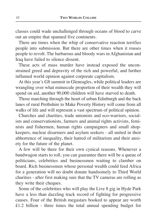classes could wade unchallenged through oceans of blood to carve out an empire that spanned five continents.

There are times when the whip of conservative reaction terrifies people into submission. But there are other times when it rouses people to revolt. The barbarous and bloody wars in Afghanistan and Iraq have failed to silence dissent.

These acts of mass murder have instead exposed the unconstrained greed and depravity of the rich and powerful, and further inflamed world opinion against corporate capitalism.

At this year's G8 summit in Gleneagles, while political leaders are wrangling over what minuscule proportion of their wealth they will spend on aid, another 90,000 children will have starved to death.

Those marching through the heart of urban Edinburgh and the back lanes of rural Perthshire to Make Poverty History will come from all walks of life and will represent a vast spectrum of political opinion.

Churches and charities, trade unionists and eco-warriors, socialists and conservationists, farmers and animal rights activists, feminists and fishermen, human rights campaigners and small shopkeepers, nuclear disarmers and asylum seekers - all united in their abhorrence of inequality, their hatred of militarism and their anxiety for the future of the planet.

A few will be there for their own cynical reasons. Whenever a bandwagon starts to roll, you can guarantee there will be a queue of politicians, celebrities and businessmen waiting to clamber on board. Rich businessmen whose personal wealth could feed Africa for a generation will no doubt donate handsomely to Third World charities - after first making sure that the TV cameras are rolling as they write their cheques.

Some of the celebrities who will play the Live 8 gig in Hyde Park have a less than dazzling track record of fighting for progressive causes. Four of the British megastars booked to appear are worth £1.2 billion - three times the total annual spending budget for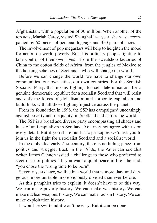Afghanistan, with a population of 30 million. When another of the top acts, Mariah Carey, visited Shanghai last year, she was accompanied by 60 pieces of personal luggage and 350 pairs of shoes.

The involvement of pop megastars will help to heighten the mood for action on world poverty. But it is ordinary people fighting to take control of their own lives - from the sweatshop factories of China to the cotton fields of Africa, from the jungles of Mexico to the housing schemes of Scotland - who will change the world.

Before we can change the world, we have to change our own communities, our own cities, our own countries. For the Scottish Socialist Party, that means fighting for self-determination; for a genuine democratic republic; for a socialist Scotland that will resist and defy the forces of globalisation and corporate capitalism and build links with all those fighting injustice across the planet.

From its foundation in 1998, the SSP has campaigned unceasingly against poverty and inequality, in Scotland and across the world.

The SSP is a broad and diverse party encompassing all shades and hues of anti-capitalism in Scotland. You may not agree with us on every detail. But if you share our basic principles we'd ask you to join us in the fight for a socialist Scotland and a socialist world.

In the embattled early 21st century, there is no hiding place from politics and struggle. Back in the 1930s, the American socialist writer James Cannon issued a challenge to those who preferred to steer clear of politics. "If you want a quiet peaceful life", he said, "you chose the wrong time to be born".

Seventy years later, we live in a world that is more dark and dangerous, more unstable, more viciously divided than ever before.

As this pamphlet tries to explain, it doesn't have to be this way. We can make poverty history. We can make war history. We can make nuclear weapons history. We can make racism history. We can make exploitation history.

It won't be swift and it won't be easy. But it can be done.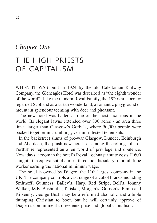#### *Chapter One*

### THE HIGH PRIESTS OF CAPITALISM

WHEN IT WAS built in 1924 by the old Caledonian Railway Company, the Gleneagles Hotel was described as "the eighth wonder of the world". Like the modern Royal Family, the 1920s aristocracy regarded Scotland as a tartan wonderland, a romantic playground of mountain splendour teeming with deer and pheasant.

The new hotel was hailed as one of the most luxurious in the world. Its elegant lawns extended over 830 acres - an area three times larger than Glasgow's Gorbals, where 50,000 people were packed together in crumbling, vermin-infested tenements.

In the backstreet slums of pre-war Glasgow, Dundee, Edinburgh and Aberdeen, the plush new hotel set among the rolling hills of Perthshire represented an alien world of privilege and opulence. Nowadays, a room in the hotel's Royal Lochnagar suite costs £1600 a night - the equivalent of almost three months salary for a full time worker earning the national minimum wage.

The hotel is owned by Diageo, the 11th largest company in the UK. The company controls a vast range of alcohol brands including Smirnoff, Guinness, Bailey's, Harp, Red Stripe, Bell's, Johnny Walker, J&B, Bushmills, Talisker, Morgan's, Gordon's, Pimm and Kilkenny. George Bush may be a reformed alcoholic and a bible thumping Christian to boot, but he will certainly approve of Diageo's commitment to free enterprise and global capitalism.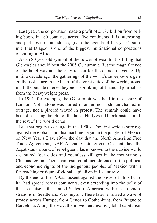Last year, the corporation made a profit of £1.87 billion from selling booze in 180 countries across five continents. It is interesting, and perhaps no coincidence, given the agenda of this year's summit, that Diageo is one of the biggest multinational corporations operating in Africa.

As an 80 year old symbol of the power of wealth, it is fitting that Gleneagles should host the 2005 G8 summit. But the magnificence of the hotel was not the only reason for the choice of venue. Up until a decade ago, the gatherings of the world's superpowers generally took place in the heart of the great cities of the world, arousing little outside interest beyond a sprinkling of financial journalists from the heavyweight press.

In 1991, for example, the G7 summit was held in the centre of London. Not a stone was hurled in anger, not a slogan chanted in outrage, not a placard waved in protest. The summit could have been discussing the plot of the latest Hollywood blockbuster for all the rest of the world cared.

But that began to change in the 1990s. The first serious stirrings against the global capitalist machine began in the jungles of Mexico on New Year's Day, 1994, the day that the North American Free Trade Agreement, NAFTA, came into effect. On that day, the Zapatistas - a band of rebel guerrillas unknown to the outside world - captured four cities and countless villages in the mountainous Chiapas region. Their manifesto combined defence of the political and economic rights of the indigenous peoples of Mexico with a far-reaching critique of global capitalism in its entirety.

By the end of the 1990s, dissent against the power of global capital had spread across continents, even extending into the belly of the beast itself, the United States of America, with mass demonstrations in Seattle and Washington. There later followed a wave of protest across Europe, from Genoa to Gothenburg, from Prague to Barcelona. Along the way, the movement against global capitalism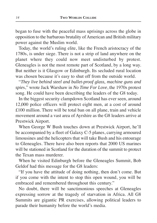began to fuse with the peaceful mass uprisings across the globe in opposition to the barbarous brutality of American and British military power against the Muslim world.

Today, the world's ruling elite, like the French aristocracy of the 1780s, is under siege. There is not a strip of land anywhere on the planet where they could now meet undisturbed by protest. Gleneagles is not the most remote part of Scotland, by a long way. But neither is it Glasgow or Edinburgh. Its secluded rural location was chosen because it's easy to shut off from the outside world.

"*They live behind steel and bullet-proof glass, machine guns and spie*s," wrote Jack Warshaw in *No Time For Love*, the 1970s protest song. He could have been describing the leaders of the G8 today.

In the biggest security clampdown Scotland has ever seen, around 12,000 police officers will protect eight men, at a cost of around £100 million. There will be total ban on all plane, train and vehicle movement around a vast area of Ayrshire as the G8 leaders arrive at Prestwick Airport.

When George W Bush touches down at Prestwick Airport, he'll be accompanied by a fleet of Galaxy C-5 planes, carrying armoured limousines and the helicopters that will take Bush and his entourage to Gleneagles. There have also been reports that 2000 US marines will be stationed in Scotland for the duration of the summit to protect the Texan mass murderer.

When he visited Edinburgh before the Gleneagles Summit, Bob Geldof had this message for the G8 leaders:

"If you have the attitude of doing nothing, then don't come. But if you come with the intent to stop this open wound, you will be embraced and remembered throughout this century."

No doubt, there will be sanctimonious speeches at Gleneagles expressing sorrow at the tragedy of starvation in Africa. All G8 Summits are gigantic PR exercises, allowing political leaders to parade their humanity before the world's media.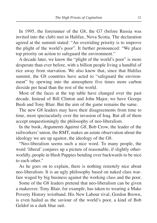In 1995, the forerunner of the G8, the G7 (before Russia was invited into the club) met in Halifax, Nova Scotia. The declaration agreed at the summit stated: "An overriding priority is to improve the plight of the world's poor". It further pronounced: "We place top priority on action to safeguard the environment."

A decade later, we know the "plight of the world's poor" is more desperate than ever before, with a billion people living a handful of rice away from starvation. We also know that, since that Halifax summit, the G8 countries have acted to "safeguard the environment" by spewing into the atmosphere five times more carbon dioxide per head than the rest of the world.

Most of the faces at the top table have changed over the past decade. Instead of Bill Clinton and John Major, we have George Bush and Tony Blair. But the aim of the game remains the same.

The new G8 leaders may have their disagreements from time to time, most spectacularly over the invasion of Iraq. But all of them accept unquestioningly the philosophy of neo-liberalism.

In the book, *Arguments Against G8*, Bob Crow, the leader of the railworkers' union, the RMT, makes an astute observation about the ideology we are up against, the ideology of the G8.

"Neo-liberalism seems such a nice word. To many people, the word 'liberal' conjures up a picture of reasonable, if slightly otherworldly, people in Hush Puppies bending over backwards to be nice to each other"

As he goes on to explain, there is nothing remotely nice about neo-liberalism. It is an ugly philosophy based on naked class warfare waged by big business against the working class and the poor.

Some of the G8 leaders pretend that neo-liberalism can be given a makeover. Tony Blair, for example, has taken to wearing a Make Poverty History wristband. His New Labour rival, Gordon Brown, is even hailed as the saviour of the world's poor, a kind of Bob Geldof in a dark blue suit.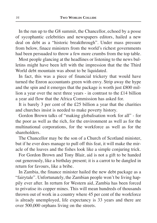In the run up to the G8 summit, the Chancellor, echoed by a posse of sycophantic celebrities and newspapers editors, hailed a new deal on debt as a "historic breakthrough". Under mass pressure from below, finace ministers from the world's richest governments had been persuaded to throw a few more crumbs from the top table.

Most people glancing at the headlines or listening to the news bulletins might have been left with the impression that the the Third World debt mountain was about to be liquidated.

In fact, this was a piece of financial trickery that would have turned the Enron accountants green with envy. Strip away the hype and the spin and it emerges that the package is worth just £800 million a year over the next three years - in contrast to the £14 billion a year aid flow that the Africa Commission has asked for.

It is barely 3 per cent of the £25 billion a year that the charities and churches insist is needed to make poverty history.

Gordon Brown talks of "making globalisation work for all" - for the poor as well as the rich, for the environment as well as for the multinational corporations, for the workforce as well as for the shareholders.

The Chancellor may be the son of a Church of Scotland minister, but if he ever does manage to pull off this feat, it will make the miracle of the loaves and the fishes look like a simple conjuring trick.

For Gordon Brown and Tony Blair, aid is not a gift to be handed out generously, like a birthday present; it is a carrot to be dangled in return for favours, like a bribe.

In Zambia, the finance minister hailed the new debt package as a "fairytale". Unfortunately, the Zambian people won't be living happily ever after. In rerturn for Western aid, Zambia has been forced to privatise its copper mines. This will mean hundreds of thousands thrown out of work in a country where 45 per cent of the workforce is already unemployed, life expectancy is 33 years and there are over 500,000 orphans living on the streets.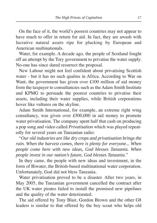On the face of it, the world's poorest countries may not appear to have much to offer in return for aid. In fact, they are awash with lucrative natural assets ripe for plucking by European and American multinationals.

Water, for example. A decade ago, the people of Scotland fought off an attempt by the Tory government to privatise the water supply. No-one has since dared resurrect the proposal.

New Labour might not feel confident about privatising Scottish water - but it has no such qualms in Africa. According to War on Want, the government has given over £100 million of aid money from the taxpayer to consultancies such as the Adam Smith Institute and KPMG to persuade the poorest countries to privatise their assets, including their water supplies, while British corporations hover like vultures on the skyline.

Adam Smith International, for example, an extreme right wing consultancy, was given over £500,000 in aid money to promote water privatisation. The company spent half that cash on producing a pop song and video called *Privatisation* which was played repeatedly for several years on Tanzanian radio:

"*Our old industries are like dry crops and privatisation brings the rain. When the harvest comes, there is plenty for everyone... When people come here with new ideas, God blesses Tanzania. When people invest in our nation's future, God blesses Tanzania*."

In they came, the people with new ideas and investment, in the form of Biwater, the British-based multinational water corporation. Unfortunately, God did not bless Tanzania.

Water privatisation proved to be a disaster. After two years, in May 2005, the Tanzanian government cancelled the contract after the UK water pirates failed to install the promised new pipelines and the quality of the water deteriorated.

The aid offered by Tony Blair, Gordon Brown and the other G8 leaders is similar to that offered by the boy scout who helps old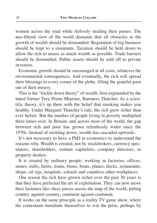women across the road while furtively stealing their purses. The neo-liberal view of the world demands that all obstacles to the growth of wealth should be dismantled. Regulation of big business should be kept to a minimum. Taxation should be held down to allow the rich to amass as much wealth as possible. Trade barriers should be dismantled. Public assets should be sold off to private investors.

Economic growth should be encouraged at all costs, whatever the environmental consequences. And eventually, the rich will spread their blessings to every corner of the globe, lifting the grateful poor out of their misery.

This is the "trickle down theory" of wealth, first expounded by the hated former Tory Prime Minister, Baroness Thatcher. As a scientific theory, it's up there with the belief that smoking makes you healthy. Under Margaret Thatcher's rule, the rich grew richer than ever before. But the number of people living in poverty multiplied three times over. In Britain, and across most of the world, the gap between rich and poor has grown relentlessly wider since the 1970s. Instead of trickling down, wealth has cascaded upwards.

It's not necessary to have a PhD in economics to understand the reasons why. Wealth is created, not by stockbrokers, currency speculators, shareholders, venture capitalists, company directors, or property dealers.

It is created by ordinary people, working in factories, offices, mines, mills, farms, trains, buses, boats, planes, docks, restaurants, shops, oil rigs, hospitals, schools and countless other workplaces.

One reason the rich have grown richer over the past 30 years is that they have perfected the art of exploitation. They can now move their factories like chess pieces across the map of the world, pitting country against country, continent against continent.

It works on the same principle as a reality TV game show, where the contestants humiliate themselves to win the prize, perhaps by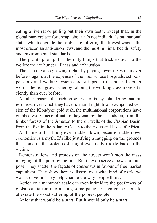eating a live rat or pulling out their own teeth. Except that, in the global marketplace for cheap labour, it's not individuals but national states which degrade themselves by offering the lowest wages, the most draconian anti-union laws, and the most minimal health, safety and environmental standards.

The profits pile up, but the only things that trickle down to the workforce are hunger, illness and exhaustion.

The rich are also growing richer by paying lower taxes than ever before - again, at the expense of the poor whose hospitals, schools, pensions and welfare systems are stripped to the bone. In other words, the rich grow richer by robbing the working class more efficiently than ever before.

Another reason the rich grow richer is by plundering natural resources over which they have no moral right. In a new, updated version of the Klondyke gold rush, the multinational corporations have grabbed every piece of nature they can lay their hands on, from the timber forests of the Amazon to the oil wells of the Caspian Basin, from the fish in the Atlantic Ocean to the rivers and lakes of Africa.

And none of that booty ever trickles down, because trickle-down economics is a myth. It's like justifying a mugging on the grounds that some of the stolen cash might eventually trickle back to the victim.

Demonstrations and protests on the streets won't stop the mass mugging of the poor by the rich. But they do serve a powerful purpose. They shatter the façade of consensus in favour of free market capitalism. They show there is dissent over what kind of world we want to live in. They help change the way people think.

Action on a mammoth scale can even intimidate the godfathers of global capitalism into making some panic-stricken concessions to alleviate the worst suffering of the poorest people.

At least that would be a start. But it would only be a start.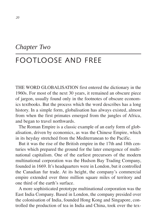#### *Chapter Two*

### FOOTLOOSE AND FREE

THE WORD GLOBALISATION first entered the dictionary in the 1960s. For most of the next 30 years, it remained an obscure piece of jargon, usually found only in the footnotes of obscure economics textbooks. But the process which the word describes has a long history. In a simple form, globalisation has always existed, almost from when the first primates emerged from the jungles of Africa, and began to travel northwards.

The Roman Empire is a classic example of an early form of globalisation, driven by economics, as was the Chinese Empire, which in its heyday stretched from the Mediterranean to the Pacific.

But it was the rise of the British empire in the 17th and 18th centuries which prepared the ground for the later emergence of multinational capitalism. One of the earliest precursors of the modern multinational corporation was the Hudson Bay Trading Company, founded in 1669. It's headquarters were in London, but it controlled the Canadian fur trade. At its height, the company's commercial empire extended over three million square miles of territory and one third of the earth's surface.

A more sophisticated prototype multinational corporation was the East India Company. Based in London, the company presided over the colonisation of India, founded Hong Kong and Singapore, controlled the production of tea in India and China, took over the tex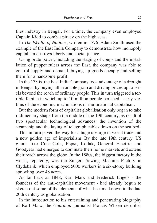tiles industry in Bengal. For a time, the company even employed Captain Kidd to combat piracy on the high seas.

In *The Wealth of Nations*, written in 1776, Adam Smith used the example of the East India Company to demonstrate how monopoly capitalism destroys liberty and social justice.

Using brute power, including the staging of coups and the installation of puppet rulers across the East, the company was able to control supply and demand, buying up goods cheaply and selling them for a handsome profit.

In the 1780s, the East India Company took advantage of a drought in Bengal by buying all available grain and driving prices up to levels beyond the reach of ordinary people. This in turn triggered a terrible famine in which up to 10 million people perished - early victims of the economic machinations of multinational capitalism.

But the modern form of capitalist globalisation only began to take rudimentary shape from the middle of the 19th century, as result of two spectacular technological advances: the invention of the steamship and the laying of telegraph cables down on the sea bed.

This in turn paved the way for a huge upsurge in world trade and a new golden age of imperialism. By the late 19th century, US giants like Coca-Cola, Pepsi, Kodak, General Electric and Goodyear had emerged to dominate their home markets and extend their reach across the globe. In the 1880s, the biggest factory in the world, reputedly, was the Singers Sewing Machine Factory in Clydebank, which employed 5000 workers in a six-storey building sprawling over 48 acres.

As far back as 1848, Karl Marx and Frederick Engels - the founders of the anti-capitalist movement - had already begun to sketch out some of the elements of what became known in the late 20th century as globalisation.

In the introduction to his entertaining and penetrating biography of Karl Marx, the *Guardian* journalist Francis Wheen describes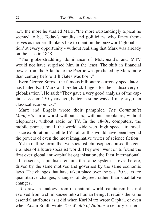how the more he studied Marx, "the more outstandingly topical he seemed to be. Today's pundits and politicians who fancy themselves as modern thinkers like to mention the buzzword 'globalisation' at every opportunity - without realising that Marx was already on the case in 1848.

"The globe-straddling dominance of McDonald's and MTV would not have surprised him in the least. The shift in financial power from the Atlantic to the Pacific was predicted by Marx more than century before Bill Gates was born."

Even George Soros - the famous billionaire currency speculator has hailed Karl Marx and Frederick Engels for their "discovery of globalisation". He said: "They gave a very good analysis of the capitalist system 150 years ago, better in some ways, I may say, than classical economics."

Marx and Engels wrote their pamphlet, *The Communist Manifesto*, in a world without cars, without aeroplanes, without telephones, without radio or TV. In the 1840s, computers, the mobile phone, email, the world wide web, high speed air travel, space exploration, satellite TV - all of this would have been beyond the powers of even the most imaginative writer of science fiction.

Yet in outline form, the two socialist philosophers raised the general idea of a future socialist world. They even went on to found the first ever global anti-capitalist organisation, the First International.

In essence, capitalism remains the same system as ever before, driven by the same motives and governed by the same economic laws. The changes that have taken place over the past 30 years are quantitative changes, changes of degree, rather than qualitative changes.

To draw an analogy from the natural world, capitalism has not evolved from a chimpanzee into a human being. It retains the same essential attributes as it did when Karl Marx wrote Capital, or even when Adam Smith wrote *The Wealth of Nations* a century earlier.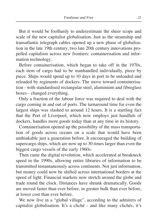But it would be foolhardy to underestimate the sheer scope and scale of the new capitalist globalisation. Just as the steamship and transatlantic telegraph cables opened up a new phase of globalisation in the late 19th century, two late 20th century innovations propelled capitalism across new frontiers: containerisation and information technology.

Before containerisation, which began to take off in the 1970s, each item of cargo had to be manhandled individually, piece by piece. Ships would spend up to 10 days in port to be unloaded and reloaded by regiments of dockers. The move toward containerisation - with standardised rectangular steel, aluminium and fibreglass boxes - changed everything.

Only a fraction of the labour force was required to deal with the cargo coming in and out of ports. The turnaround time for even the largest ships was slashed to around 12 hours. It is a startling fact that the Port of Liverpool, which now employs just handfuls of dockers, handles more goods today than at any time in its history.

Containerisation opened up the possibility of the mass transportation of goods across oceans on a scale that would have been unthinkable just a generation before. It encouraged the building of supercargo ships, which are now up to 30 times larger than even the biggest cargo vessels of the early 1960s.

Then came the digital revolution, which accelerated at breakneck speed in the 1990s, allowing entire libraries of information to be transmitted instantaneously across continents. Not just information, but money could now be shifted across international borders at the speed of light. Financial markets now stretch around the globe and trade round the clock. Distances have shrunk dramatically. Goods are moved faster than ever before, in greater bulk than ever before, at lower cost than ever before.

We now live in a "global village", according to the admirers of capitalist globalisation. It's a cliché - and like many clichés, it's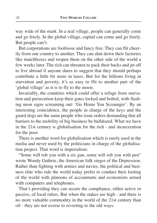way wide of the mark. In a real village, people can generally come and go freely. In the global village, capital can come and go freely. But people can't.

But corporations are footloose and fancy free. They can flit cheerily from one country to another. They can shut down their factories like matchboxes and reopen them on the other side of the world a few weeks later. The rich can threaten to pack their backs and jet off to live abroad if anyone dares to suggest that they should perhaps contribute a little bit more in taxes. But for the billions living in starvation and poverty, it's as easy to flit to another part of the 'global village' as it is to fly to the moon.

Invariably, the countries which could offer a refuge from starvation and persecution keep their gates locked and bolted, with flashing neon signs screaming out: 'Go Home You Scrounger'. By an interesting coincidence, the people in charge of the keys and the guard dogs are the same people who issue orders demanding that all barriers to the mobility of big business be bulldozed. What we have in the 21st century is globalisation for the rich - and incarceration for the poor.

There is another word for globalisation which is rarely used in the media and never used by the politicians in charge of the globalisation project. That word is imperialism.

"Some will rob you with a six gun, some will rob you with pen" wrote Woody Guthrie, the American folk singer of the Depression. Rather than fighting with armies and navies, the political and business elite who rule the world today prefer to conduct their looting of the world with platoons of accountants and economists armed with computers and telephones.

That's providing they can secure the compliance, either active or passive, of local rulers. But when the stakes are high - and there is no more valuable commodity in the world of the 21st century than oil - they are not averse to reverting to the old ways.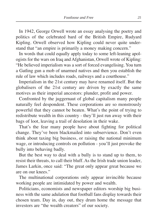In 1942, George Orwell wrote an essay analysing the poetry and politics of the celebrated bard of the British Empire, Rudyard Kipling. Orwell observed how Kipling could never quite understand that "an empire is primarily a money making concern."

In words that could equally apply today to some left-leaning apologists for the wars on Iraq and Afghanistan, Orwell wrote of Kipling: "He believed imperialism was a sort of forced evangelising. You turn a Gatling gun a mob of unarmed natives and then you establish the rule of law which includes roads, railways and a courthouse."

Imperialism in the 21st century may have renamed itself. But the globalisers of the 21st century are driven by exactly the same motives as their imperial ancestors: plunder, profit and power.

Confronted by the juggernaut of global capitalism many people naturally feel despondent. These corporations are so monstrously powerful that they cannot be beaten. What's the point of trying to redistribute wealth in this country - they'll just run away with their bags of loot, leaving a trail of desolation in their wake.

That's the fear many people have about fighting for political change. They've been blackmailed into subservience. Don't even think about taxing big business, or raising the national minimum wage, or introducing controls on pollution - you'll just provoke the bully into behaving badly.

But the best way to deal with a bully is to stand up to them, to resist their threats, to call their bluff. As the Irish trade union leader, James Larkin, once said: "The great only appear great because we are on our knees."

The multinational corporations only appear invincible because working people are intimidated by power and wealth.

Politicians, economists and newspaper editors worship big business with the same adulation that football fans display towards their chosen team. Day in, day out, they drum home the message that investors are "the wealth creators" of our society.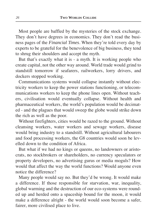Most people are baffled by the mysteries of the stock exchange. They don't have degrees in economics. They don't read the business pages of the *Financial Times*. When they're told every day by experts to be grateful for the benevolence of big business, they tend to shrug their shoulders and accept the myth.

But that's exactly what it is - a myth. It is working people who create capital, not the other way around. World trade would grind to standstill tomorrow if seafarers, railworkers, lorry drivers, and dockers stopped working.

Communications systems would collapse instantly without electricity workers to keep the power stations functioning, or telecommunications workers to keep the phone lines open. Without teachers, civilisation would eventually collapse. Without health and pharmaceutical workers, the world's population would be decimated - and the plagues that would sweep the globe would strike down the rich as well as the poor.

Without firefighters, cities would be razed to the ground. Without cleansing workers, water workers and sewage workers, disease would bring industry to a standstill. Without agricultural labourers and food processing workers, the G8 countries would soon be levelled down to the condition of Africa.

But what if we had no kings or queens, no landowners or aristocrats, no stockbrokers or shareholders, no currency speculators or property developers, no advertising gurus or media moguls? How would that affect the way the world functions? Would anyone even notice the difference?

Many people would say no. But they'd be wrong. It would make a difference. If those responsible for starvation, war, inequality, global warming and the destruction of our eco-systems were rounded up and herded onto a spaceship bound for the moon, it would make a difference alright - the world would soon become a safer, fairer, more civilised place to live.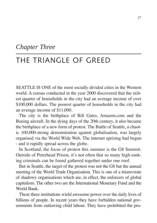#### *Chapter Three*

### THE TRIANGLE OF GREED

SEATTLE IS ONE of the most socially divided cities in the Western world. A census conducted in the year 2000 discovered that the richest quarter of households in the city had an average income of over \$100,000 dollars. The poorest quarter of households in the city had an average income of \$11,000.

The city is the birthplace of Bill Gates, Amazon.com and the Boeing aircraft. In the dying days of the 20th century, it also became the birthplace of a new form of protest. The Battle of Seattle, a chaotic 100,000-strong demonstration against globalisation, was largely organised via the World Wide Web. The internet uprising had begun - and it rapidly spread across the globe.

In Scotland, the focus of protest this summer is the G8 Summit. Outside of Peterhead Prison, it's not often that so many high-ranking criminals can be found gathered together under one roof.

But in Seattle, the target of the protest was not the G8 but the annual meeting of the World Trade Organisation. This is one of a triumvirate of shadowy organisations which are, in effect, the enforcers of global capitalism. The other two are the International Monetary Fund and the World Bank.

These three institutions wield awesome power over the daily lives of billions of people. In recent years they have forbidden national governments from outlawing child labour. They have prohibited the pro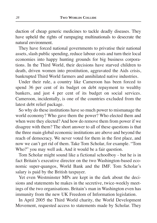duction of cheap generic medicines to tackle deadly diseases. They have upheld the rights of rampaging multinationals to desecrate the natural environment.

They have forced national governments to privatise their national assets, slash public spending, reduce labour costs and turn their local economies into happy hunting grounds for big business corporations. In the Third World, their decisions have starved children to death, driven women into prostitution, aggravated the Aids crisis, bankrupted Third World farmers and annihilated native industries.

Under their rule, a country like Cameroon has been forced to spend 36 per cent of its budget on debt repayment to wealthy bankers, and just 4 per cent of its budget on social services. Cameroon, incidentally, is one of the countries excluded from the latest debt relief package.

So why do these institutions have so much power to mismanage the world economy? Who gave them the power? Who elected them and when were they elected? And how do remove them from power if we disagree with them? The short answer to all of these questions is that the three main global economic institutions are above and beyond the reach of democracy. We never voted for them in the first place, and now we can't get rid of them. Take Tom Scholar, for example. "Tom Who?" you may well ask. And it would be a fair question.

Tom Scholar might sound like a fictional schoolboy - but he is in fact Britain's executive director on the two Washington-based economic super-quangos, World Bank and the IMF. Tom Scholar's salary is paid by the British taxpayer.

Yet even Westminster MPs are kept in the dark about the decisions and statements he makes in the secretive, twice-weekly meetings of the two organisations. Britain's man in Washington even has immunity from the new UK Freedom of Information legislation.

In April 2005 the Third World charity, the World Development Movement, requested access to statements made by Scholar. They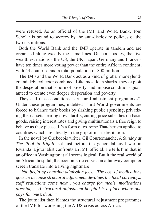were refused. As an official of the IMF and World Bank, Tom Scholar is bound to secrecy by the anti-disclosure policies of the two institutions.

Both the World Bank and the IMF operate in tandem and are organised along exactly the same lines. On both bodies, the five wealthiest nations - the US, the UK, Japan, Germany and France have ten times more voting power than the entire African continent, with 44 countries and a total population of 800 million.

The IMF and the World Bank act as a kind of global moneylender and debt collector combined. Like most loan sharks, they exploit the desperation that is born of poverty, and impose conditions guaranteed to create even deeper desperation and poverty.

They call these conditions "structural adjustment programmes". Under these programmes, indebted Third World governments are forced to balance their books by slashing public spending, privatising their assets, tearing down tariffs, cutting price subsidies on basic goods, raising interest rates and giving multinationals a free reign to behave as they please. It's a form of extreme Thatcherism applied to countries which are already in the grip of mass destitution.

In the novel by Quebecois writer, Gil Courtemanche, *A Sunday at The Pool in Kigali*, set just before the genocidal civil war in Rwanda, a journalist confronts an IMF official. He tells him that in an office in Washington it all seems logical. But it the real world of an African hospital, the econometric curves on a faraway computer screen translate into a living nightmare.

*"You begin by charging admission fees... The cost of medications goes up because structural adjustment devalues the local currency... staff reductions come next... you charge for meals, medications dressings... A structural adjustment hospital is a place where one pays for one's death."*

The journalist then blames the structural adjustment programmes of the IMF for worsening the AIDS crisis across Africa.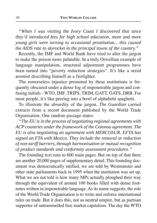*"When I was visiting the Ivory Coast I discovered that since they'd introduced fees for high school education, more and more young girls were turning to occasional prostitution... this caused the AIDS rate to skyrocket in the principal towns of the country."* 

Recently, the IMF and World Bank have tried to alter the jargon to make the poison more palatable. In a truly Orwellian example of language manipulation, structural adjustment programmes have been turned into "poverty reduction strategies". It's like a serial arsonist describing himself as a firefighter.

The remorseless injustice promoted by these institutions is frequently obscured under a dense fog of impenetrable jargon and confusing initials - WTO, IMF, TRIPS, TRIM, GATT, GATS, DRB. For most people, it's like peering into a bowl of alphabetti spaghetti.

To illustrate the absurdity of the jargon, *The Guardian* carried extracts from a recent document published by the World Trade Organisation. One random passage states:

*"The EU is in the process of negotiating regional agreements with ACP countries under the framework of the Cotonou agreement. The EU is also negotiating an agreement with MERCOSUR. EFTA has signed an FTA with Mexico. They include the removal or reduction of non-tariff barriers, through harmonisation or mutual recognition of product standards and conformity assessment procedures."*

The founding text runs to 600 main pages. But on top of that there are another 20,000 pages of supplementary detail. This founding document was democratically ratified, we are told by Westminster and other state parliaments back in 1995 when the institution was set up. What we are not told is how many MPs actually ploughed their way through the equivalent of around 100 books filled with dense footnotes written in impenetrable language. As its name suggests, the role of the World Trade Organisation is to write and enforce international rules on trade. But it does this, not as neutral umpire, but as partisan supporter of untrammelled free market capitalism. The day the WTO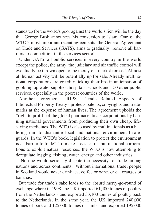stands up for the world's poor against the world's rich will be the day that George Bush announces his conversion to Islam. One of the WTO's most important recent agreements, the General Agreement on Trade and Services (GATS), aims to gradually "remove all barriers to competition in the services sector".

Under GATS, all public services in every country in the world except the police, the army, the judiciary and air traffic control will eventually be thrown open to the mercy of "market forces". Almost all human activity will be potentially up for sale. Already multinational corporations are greedily licking their lips in anticipation of gobbling up water supplies, hospitals, schools and 150 other public services, especially in the poorest countries of the world.

Another agreement, TRIPS - Trade Related Aspects of Intellectual Property Treaty - protects patents, copyrights and trademarks at the expense of human lives. The agreement upholds the "right to profit" of the global pharmaceuticals corporations by banning national governments from producing their own cheap, lifesaving medicines. The WTO is also used by multinationals as a battering ram to dismantle local and national environmental safeguards. In the WTO's book, legislation to protect the environment is a "barrier to trade". To make it easier for multinational corporations to exploit natural resources, the WTO is now attempting to deregulate logging, fishing, water, energy and other industries.

No one would seriously dispute the necessity for trade among nations and across continents. Without international trade, people in Scotland would never drink tea, coffee or wine, or eat oranges or bananas.

But trade for trade's sake leads to the absurd merry-go-round of exchange where in 1998, the UK imported 61,400 tonnes of poultry from the Netherlands - and exported 33,100 tonnes of poultry back to the Netherlands. In the same year, the UK imported 240,000 tonnes of pork and 125,000 tonnes of lamb - and exported 195,000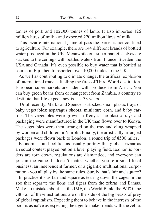tonnes of pork and 102,000 tonnes of lamb. It also imported 126 million litres of milk - and exported 270 million litres of milk.

This bizarre international game of pass the parcel is not confined to agriculture. For example, there are 144 different brands of bottled water produced in the UK. Meanwhile our supermarket shelves are stacked to the ceilings with bottled waters from France, Sweden, the USA and Canada. It's even possible to buy water that is bottled at source in Fiji, then transported over 10,000 miles to the UK.

As well as contributing to climate change, the artificial explosion of international trade is fuelling the fires of Third World destitution. European supermarkets are laden with produce from Africa. You can buy green beans from or mangetout from Zambia, a country so destitute that life expectancy is just 33 years.

Until recently, Marks and Spencer's stocked small plastic trays of baby vegetables: asparagus shoots, miniature corn, and baby carrots. The vegetables were grown in Kenya. The plastic trays and packaging were manufactured in the UK than flown over to Kenya. The vegetables were then arranged on the tray and cling wrapped by women and children in Nairobi. Finally, the artistically arranged packages were flown back to London, a round trip of 8500 miles.

Economists and politicians usually portray this global bazaar as an equal contest played out on a level playing field. Economic borders are torn down, regulations are dismantled, and everyone can join in the game. It doesn't matter whether you're a small local business, an independent farmer, or a gigantic multinational corporation - you all play by the same rules. Surely that's fair and square?

In practice it's as fair and square as tearing down the cages in the zoo that separate the lions and tigers from the zebras and llamas. Make no mistake about it - the IMF, the World Bank, the WTO, the G8 - all of these institutions are on the side of the big beasts of prey of global capitalism. Expecting them to behave in the interests of the poor is as naïve as expecting the tiger to make friends with the zebra.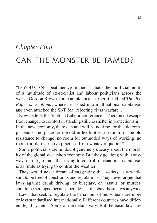#### *Chapter Four*

### CAN THE MONSTER BE TAMED?

"IF YOU CAN'T beat them, join them" - that's the unofficial motto of a multitude of ex-socialist and labour politicians across the world. Gordon Brown, for example, in an earlier life edited *The Red Paper on Scotland*, where he lashed into multinational capitalism and even attacked the SNP for "rejecting class warfare".

Now he tells the Scottish Labour conference: "There is no escape from change, no comfort in standing still, no shelter in protectionism... In the new economy, there can and will be no time for the old complacencies, no place for the old inflexibilities, no room for the old resistance to change, no room for outmoded ways of working, no room for old restrictive practices from whatever quarter."

Some politicians are no doubt genuinely queasy about the morality of the global sweatshop economy. But they go along with it anyway, on the grounds that trying to control transnational capitalism is as futile as trying to control the weather.

They would never dream of suggesting that society as a whole should be free of constraints and regulations. They never argue that laws against drunk driving, or burglary, or assault, or murder, should be scrapped because people just disobey these laws anyway.

Laws that seek to regulate the behaviour of individuals are more or less standardised internationally. Different countries have different legal systems. Some of the details vary. But the basic laws are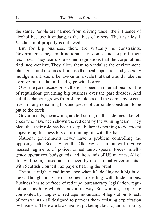the same. People are banned from driving under the influence of alcohol because it endangers the lives of others. Theft is illegal. Vandalism of property is outlawed.

But for big business, there are virtually no constraints. Governments beg multinationals to come and exploit their resources. They tear up rules and regulations that the corporations find inconvenient. They allow them to vandalise the environment, plunder natural resources, brutalise the local population and generally indulge in anti-social behaviour on a scale that that would make the average run-of-the mill ned gape with horror.

Over the past decade or so, there has been an international bonfire of regulations governing big business over the past decades. And still the clamour grows from shareholders and the company executives for any remaining bits and pieces of corporate constraint to be put to the torch.

Governments, meanwhile, are left sitting on the sidelines like referees who have been shown the red card by the winning team. They bleat that their role has been usurped; there is nothing to do except appease big business to stop it running off with the ball.

National governments never have a problem controlling the opposing side. Security for the Gleneagles summit will involve massed regiments of police, armed units, special forces, intelligence operatives, bodyguards and thousands of US marines. All of this will be organised and financed by the national governments with Scottish Council Tax payers bearing the brunt.

The state might plead impotence when it's dealing with big business. Though not when it comes to dealing with trade unions. Business has to be freed of red tape, bureaucracy, legislation, regulation - anything which stands in its way. But working people are confronted by jungles of red tape, mountains of legislation, forests of constraints - all designed to prevent them resisting exploitation by business. There are laws against picketing, laws against striking,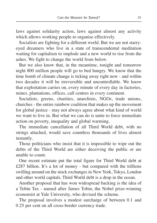laws against solidarity action, laws against almost any activity which allows working people to organise effectively.

Socialists are fighting for a different world. But we are not starryeyed dreamers who live in a state of transcendental meditation waiting for capitalism to implode and a new world to rise from the ashes. We fight to change the world from below.

But we also know that, in the meantime, tonight and tomorrow night 800 million people will go to bed hungry. We know that the time bomb of climate change is ticking away right now - and within two decades it will be irreversible and uncontrollable. We know that exploitation carries on, every minute of every day in factories, mines, plantations, offices, call centres in every continent.

Socialists, greens, charities, anarchists, NGOs, trade unions, churches - the entire rainbow coalition that makes up the movement for global justice - may not always agree about what kind of world we want to live in. But what we can do is unite to force immediate action on poverty, inequality and global warming.

The immediate cancellation of all Third World debt, with no strings attached, would save countless thousands of lives almost instantly.

Those politicians who insist that it is impossible to wipe out the debts of the Third World are either deceiving the public or are unable to count.

One recent estimate put the total figure for Third World debt at £287 billion. It's a lot of money - but compared with the trillions swilling around on the stock exchanges in New York, Tokyo, London and other world capitals, Third World debt is a drop in the ocean.

Another proposal that has won widespread backing is the idea of a Tobin Tax - named after James Tobin, the Nobel prize-winning economist at Yale University, who devised the scheme.

The proposal involves a modest surcharge of between 0.1 and 0.25 per cent on all cross-border currency trade.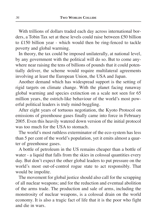With trillions of dollars traded each day across international borders, a Tobin Tax set at these levels could raise between £50 billion to £150 billion year - which would then be ring-fenced to tackle poverty and global warming.

In theory, the tax could be imposed unilaterally, at national level, by any government with the political will do so. But to come anywhere near raising the tens of billions of pounds that it could potentially deliver, the scheme would require multilateral agreements involving at least the European Union, the USA and Japan.

Another demand which has widespread support is the setting of rigid targets on climate change. With the planet facing runaway global warming and species extinction on a scale not seen for 65 million years, the ostrich-like behaviour of the world's most powerful political leaders is truly mind-boggling.

After eight years of tortuous negotiation, the Kyoto Protocol on emissions of greenhouse gases finally came into force in February 2005. Even this heavily watered down version of the initial protocol was too much for the USA to stomach.

The world's most ruthless exterminator of the eco-system has less than 5 per cent of the world's population, yet it emits almost a quarter of greenhouse gases.

A bottle of petroleum in the US remains cheaper than a bottle of water - a liquid that falls from the skies in colossal quantities every day. But don't expect the other global leaders to put pressure on the world's most out-of-control rogue state to act responsibly. That would be impolite.

The movement for global justice should also call for the scrapping of all nuclear weapons; and for the reduction and eventual abolition of the arms trade. The production and sale of arms, including the monstrosity of nuclear weapons, is a colossal drain on the world economy. It is also a tragic fact of life that it is the poor who fight and die in wars.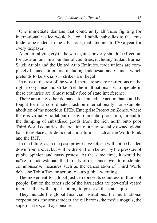One immediate demand that could unify all those fighting for international justice would be for all public subsidies to the arms trade to be ended. In the UK alone, that amounts to £30 a year for every taxpayer.

Another rallying cry in the war against poverty should be freedom for trade unions. In a number of countries, including Sudan, Burma, Saudi Arabia and the United Arab Emirates, trade unions are completely banned. In others, including Indonesia, and China - which pretends to be socialist - strikes are illegal.

In most of the rest of the world, there are severe restrictions on the right to organise and strike. Yet the multinationals who operate in these countries are almost totally free of state interference.

There are many other demands for immediate action that could be fought for in a co-ordinated fashion internationally: for example, abolition of the notorious EPZs, Enterprise Protection Zones, where there is virtually no labour or environmental protection; an end to the dumping of subsidised goods from the rich north onto poor Third World countries; the creation of a new socially owned global bank to replace anti-democratic institutions such as the World Bank and the IMF.

In the future, as in the past, progressive reform will not be handed down from above, but will be driven from below, by the pressure of public opinion and mass protest. At the same time, it would be naïve to underestimate the ferocity of resistance even to moderate, commonsense measures such as the cancellation of Third World debt, the Tobin Tax, or action to curb global warming.

The movement for global justice represents countless millions of people. But on the other side of the barricades are powerful vested interests that will stop at nothing to preserve the status quo.

They include the global financial institutions, the multinational corporations, the arms traders, the oil barons, the media moguls, the supermarkets, and agribusiness.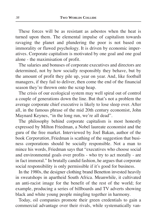These forces will be as resistant as asbestos when the heat is turned upon them. The elemental impulse of capitalism towards ravaging the planet and plundering the poor is not based on immorality or flawed psychology. It is driven by economic imperatives. Corporate capitalism is motivated by one goal and one goal alone - the maximisation of profit.

The salaries and bonuses of corporate executives and directors are determined, not by how socially responsibly they behave, but by the amount of profit they pile up, year on year. And, like football managers, if they fail to deliver, then come the end of the financial season they're thrown onto the scrap heap.

The crisis of our ecological system may well spiral out of control a couple of generations down the line. But that's not a problem the average corporate chief executive is likely to lose sleep over. After all, in the famous phrase of the mid 20th century economist, John Maynard Keynes, "in the long run, we're all dead".

The philosophy behind corporate capitalism is most honestly expressed by Milton Friedman, a Nobel laureate economist and the guru of the free market. Interviewed by Joel Bakan, author of the book *Corporation*, Friedman is scathing of the suggestion that business corporations should be socially responsible. Not a man to mince his words, Friedman says that "executives who choose social and environmental goals over profits - who try to act morally - are in fact immoral." In brutally candid fashion, he argues that corporate social responsibility is only permissible if it's good for business.

In the 1980s, the designer clothing brand Benetton invested heavily in sweatshops in apartheid South Africa. Meanwhile, it cultivated an anti-racist image for the benefit of the rest of the world; for example, producing a series of billboards and TV adverts showing black and white young people mingling together in harmony.

Today, oil companies promote their green credentials to gain a commercial advantage over their rivals, while systematically van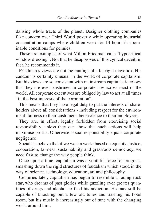dalising whole tracts of the planet. Designer clothing companies fake concern over Third World poverty while operating industrial concentration camps where children work for 14 hours in abominable conditions for pennies.

These are examples of what Milton Friedman calls "hypocritical window dressing". Not that he disapproves of this cynical deceit; in fact, he recommends it.

Friedman's views are not the rantings of a far right maverick. His candour is certainly unusual in the world of corporate capitalism. But his views are so consistent with mainstream capitalist ideology that they are even enshrined in corporate law across most of the world. All corporate executives are obliged by law to act at all times "in the best interests of the corporation".

This means that they have legal duty to put the interests of shareholders above all considerations - including respect for the environment, fairness to their customers, benevolence to their employees.

They are, in effect, legally forbidden from exercising social responsibility, unless they can show that such actions will help maximise profits. Otherwise, social responsibility equals corporate negligence.

Socialists believe that if we want a world based on equality, justice, cooperation, fairness, sustainability and grassroots democracy, we need first to change the way people think.

Once upon a time, capitalism was a youthful force for progress, smashing down the rigid structures of feudalism which stood in the way of science, technology, education, art and philosophy.

Centuries later, capitalism has begun to resemble a fading rock star, who dreams of past glories while guzzling ever greater quantities of drugs and alcohol to feed his addiction. He may still be capable of knocking out a few old tunes and trashing his hotel room, but his music is increasingly out of tune with the changing world around him.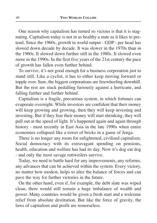One reason why capitalism has turned so vicious is that it is stagnating. Capitalism today is not in as healthy a state as it likes to pretend. Since the 1960s, growth in world output - GDP - per head has slowed down decade by decade. It was slower in the 1970s than in the 1960s. It slowed down further still in the 1980s. It slowed even more in the 1990s. In the first five years of the 21st century the pace of growth has fallen even further behind.

To survive, it's not good enough for a business corporation just to stand still. Like a cyclist, it has to either keep moving forward or topple over. Sure, the biggest corporations are freewheeling downhill. But the rest are stuck pedalling furiously against a hurricane, and falling further and further behind.

Capitalism is a fragile, precarious system, in which fortunes can evaporate overnight. While investors are confident that their money will keep growing and growing, then they will keep investing and investing. But if they fear their money will start shrinking, they will pull out at the speed of light. It's happened again and again through history - most recently in East Asia in the late 1990s when entire economies collapsed like a tower of bricks in a game of Jenga.

There is no longer any room for enlightened, civilised capitalism. Social democracy with its extravagant spending on pensions, health, education and welfare has had its day. Now it's dog eat dog - and only the most savage rottweilers survive.

Today, we need to battle hard for any improvements, any reforms, any advances that can be achieved within the system. Every victory, no matter how modest, helps to alter the balance of forces and can pave the way for further victories in the future.

On the other hand, even if, for example, the debt slate was wiped clean, there would still remain a huge imbalance of wealth and power. Many countries would be given a fresh start and a welcome relief from absolute destitution. But like the force of gravity, the laws of capitalism and profit are remorseless.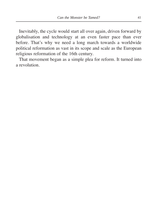Inevitably, the cycle would start all over again, driven forward by globalisation and technology at an even faster pace than ever before. That's why we need a long march towards a worldwide political reformation as vast in its scope and scale as the European religious reformation of the 16th century.

That movement began as a simple plea for reform. It turned into a revolution.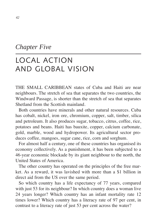#### *Chapter Five*

### LOCAL ACTION AND GLOBAL VISION

THE SMALL CARIBBEAN states of Cuba and Haiti are near neighbours. The stretch of sea that separates the two countries, the Windward Passage, is shorter than the stretch of sea that separates Shetland from the Scottish mainland.

Both countries have minerals and other natural resources. Cuba has cobalt, nickel, iron ore, chromium, copper, salt, timber, silica and petroleum. It also produces sugar, tobacco, citrus, coffee, rice, potatoes and beans. Haiti has bauxite, copper, calcium carbonate, gold, marble, wood and hydropower. Its agricultural sector produces coffee, mangoes, sugar cane, rice, corn and sorghum.

For almost half a century, one of these countries has organised its economy collectively. As a punishment, it has been subjected to a 46-year economic blockade by its giant neighbour to the north, the United States of America.

The other country has operated on the principles of the free market. As a reward, it was lavished with more than a \$1 billion in direct aid from the US over the same period.

So which country has a life expectancy of 77 years, compared with just 53 for its neighbour? In which country does a woman live 24 years longer? Which country has an infant mortality rate 12 times lower? Which country has a literacy rate of 97 per cent, in contrast to a literacy rate of just 53 per cent across the water?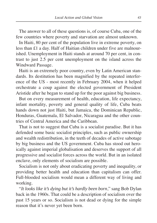The answer to all of these questions is, of course Cuba, one of the few countries where poverty and starvation are almost unknown.

In Haiti, 80 per cent of the population live in extreme poverty, on less than £1 a day. Half of Haitian children under five are malnourished. Unemployment in Haiti stands at around 70 per cent, in contrast to just 2.5 per cent unemployment on the island across the Windward Passage.

Haiti is an extremely poor country, even by Latin American standards. Its destitution has been magnified by the repeated interference of the US - most recently in February 2004, when it helped orchestrate a coup against the elected government of President Aristide after he began to stand up for the poor against big business.

But on every measurement of health, education, life expectancy, infant mortality, poverty and general quality of life, Cuba beats hands down not just Haiti, but Jamaica, the Dominican Republic, Honduras, Guatemala, El Salvador, Nicaragua and the other countries of Central America and the Caribbean.

That is not to suggest that Cuba is a socialist paradise. But it has defended some basic socialist principles, such as public ownership and wealth redistribution, in the teeth of decades of active sabotage by big business and the US government. Cuba has stood out heroically against imperial globalisation and deserves the support of all progressive and socialist forces across the world. But in an isolated enclave, only elements of socialism are possible.

Socialism is not only about eradicating poverty and inequality, or providing better health and education than capitalism can offer. Full-blooded socialism would mean a different way of living and working.

"*It looks like it's dying but it's hardly been born*," sang Bob Dylan back in the 1960s. That could be a description of socialism over the past 15 years or so. Socialism is not dead or dying for the simple reason that it's never yet been born.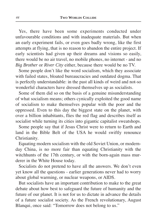Yes, there have been some experiments conducted under unfavourable conditions and with inadequate materials. But when an early experiment fails, or even goes badly wrong, like the first attempts at flying, that is no reason to abandon the entire project. If early scientists had given up their dreams and visions so easily, there would be no air travel, no mobile phones, no internet - and no *Big Brother* or *River City* either, because there would be no TV.

Some people don't like the word socialism, which they associate with failed states, bloated bureaucracies and outdated dogma. That is perfectly understandable: in the past all kinds of weird and not-so wonderful characters have dressed themselves up as socialists.

Some of them did so on the basis of a genuine misunderstanding of what socialism means; others cynically exploited the good name of socialism to make themselves popular with the poor and the oppressed. Even to this day the biggest state on the planet, with over a billion inhabitants, flies the red flag and describes itself as socialist while turning its cities into gigantic capitalist sweatshops.

Some people say that if Jesus Christ were to return to Earth and land in the Bible Belt of the USA he would swiftly renounce Christianity.

Equating modern socialism with the old Soviet Union, or modernday China, is no more fair than equating Christianity with the witchhunts of the 17th century, or with the born-again mass murderer in the White House today.

Socialists do not pretend to have all the answers. We don't even yet know all the questions - earlier generations never had to worry about global warming, or nuclear weapons, or AIDS.

But socialists have an important contribution to make to the great debate about how best to safeguard the future of humanity and the future of our planet. It is not for us to dictate in advance the details of a future socialist society. As the French revolutionary, August Blanqui, once said: "Tomorrow does not belong to us."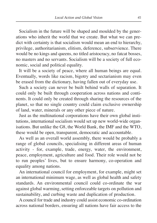Socialism in the future will be shaped and moulded by the generations who inherit the world that we create. But what we can predict with certainty is that socialism would mean an end to hierarchy, privilege, authoritarianism, elitism, deference, subservience. There would be no kings and queens, no titled aristocracy, no fatcat bosses, no masters and no servants. Socialism will be a society of full economic, social and political equality.

It will be a society of peace, where all human beings are equal. Eventually, words like racism, bigotry and sectarianism may even be erased from the dictionary, having fallen out of everyday use.

Such a society can never be built behind walls of separation. It could only be built through cooperation across nations and continents. It could only be created through sharing the resources of the planet, so that no single country could claim exclusive ownership of land, water, minerals or any other piece of nature.

Just as the multinational corporations have their own global institutions, international socialism would set up new world-wide organisations. But unlike the G8, the World Bank, the IMF and the WTO, these would be open, transparent, democratic and accountable.

As well as an overall world assembly, there would be probably a range of global councils, specialising in different areas of human activity - for, example, trade, energy, water, the environment, peace, employment, agriculture and food. Their role would not be to run peoples' lives, but to ensure harmony, co-operation and equality among nations.

An international council for employment, for example, might set an international minimum wage, as well as global health and safety standards. An environmental council could co-ordinate the war against global warming, setting enforceable targets on pollution and sustainability, and curbing waste and duplication of production.

A council for trade and industry could assist economic co-ordination across national borders, ensuring all nations have fair access to the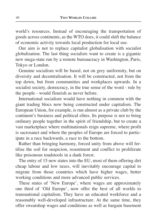world's resources. Instead of encouraging the transportation of goods across continents, as the WTO does, it could shift the balance of economic activity towards local production for local use.

Our aim is not to replace capitalist globalisation with socialist globalisation. The last thing socialists want to create is a gigantic new mega-state run by a remote bureaucracy in Washington, Paris, Tokyo or London.

Genuine socialism will be based, not on grey uniformity, but on diversity and decentralisation. It will be constructed, not from the top down, but from communities and workplaces upwards. In a socialist society, democracy, in the true sense of the word - rule by the people - would flourish as never before.

International socialism would have nothing in common with the giant trading blocs now being constructed under capitalism. The European Union, for example, is run almost as a private club by the continent's business and political elites. Its purpose is not to bring ordinary people together in the spirit of friendship, but to create a vast marketplace where multinationals reign supreme, where profit is sacrosanct and where the peoples of Europe are forced to participate in a race backwards, a race to the bottom.

Rather than bringing harmony, forced unity from above will fertilise the soil for suspicion, resentment and conflict to proliferate like poisonous toadstools in a dank forest.

The entry of 15 new states into the EU, most of them offering dirt cheap labour and low taxes, will inevitably encourage capital to migrate from those countries which have higher wages, better working conditions and more advanced public services.

These states of 'New Europe', where wages are approximately one third of 'Old Europe', now offer the best of all worlds to transnational capitalism. They have an educated workforce and a reasonably well-developed infrastructure. At the same time, they offer sweatshop wages and conditions as well as bargain basement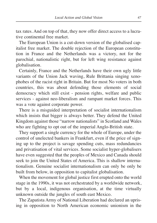tax rates. And on top of that, they now offer direct access to a lucrative continental free market.

The European Union is a cut-down version of the globalised capitalist free market. The double rejection of the European constitution in France and the Netherlands was a victory, not for the parochial, nationalistic right, but for left wing resistance against globalisation.

Certainly, France and the Netherlands have their own ugly little variants of the Union Jack waving, Rule Brittania singing xenophobes of the racist right in Britain. But for most No voters in both countries, this was about defending those elements of social democracy which still exist - pension rights, welfare and public services - against neo-liberalism and rampant market forces. This was a vote against corporate power.

There is a misguided interpretation of socialist internationalism which insists that bigger is always better. They defend the United Kingdom against those "narrow nationalists" in Scotland and Wales who are fighting to opt out of the imperial Anglo-British state.

They support a single currency for the whole of Europe, under the control of unelected bankers in Frankfurt, even if the price of signing up to the project is savage spending cuts, mass redundancies and privatisation of vital services. Some socialist hyper-globalisers have even suggested that the peoples of Mexico and Canada should seek to join the United States of America. This is shallow internationalism. Genuine socialist internationalism can only be only be built from below, in opposition to capitalist globalisation.

When the movement for global justice first erupted onto the world stage in the 1990s, it was not orchestrated by a worldwide network, but by a local, indigenous organisation, at the time virtually unknown outside the jungles of south east Mexico.

The Zapatista Army of National Liberation had declared an uprising in opposition to North American economic unionism in the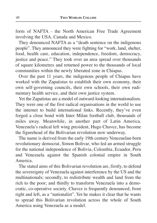form of NAFTA - the North American Free Trade Agreement involving the USA, Canada and Mexico.

They denounced NAFTA as a "death sentence on the indigenous people". They announced they were fighting for "work, land, shelter, food, health care, education, independence, freedom, democracy, justice and peace." They took over an area spread over thousands of square kilometres and returned power to the thousands of local communities within the newly liberated zone in Chiapas.

Over the past 11 years, the indigenous people of Chiapas have worked with the Zapatistas to establish their own economy, their own self-governing councils, their own schools, their own rudimentary health service, and their own justice system.

Yet the Zapatistas are a model of outward-looking internationalism. They were one of the first radical organisations in the world to use the internet to build international links. Recently, they've even forged a close bond with Inter Milan football club, thousands of miles away. Meanwhile, in another part of Latin America. Venezuela's radical left wing president, Hugo Chavez, has become the figurehead of the Bolivarian revolution now underway.

The name is derived from the early 19th century Venezuelan-born revolutionary democrat, Simon Bolivar, who led an armed struggle for the national independence of Bolivia, Colombia, Ecuador, Peru and Venezuela against the Spanish colonial empire in South America.

The stated aims of this Bolivarian revolution are, firstly, to defend the sovereignty of Venezuela against interference by the US and the multinationals; secondly, to redistribute wealth and land from the rich to the poor; and thirdly to transform Venezuela into a democratic, co-operative society. Chavez is frequently denounced, from right and left, as a "nationalist". Yet he makes it clear that he wants to spread this Bolivarian revolution across the whole of South America using Venezuela as a model.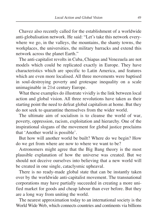Chavez also recently called for the establishment of a worldwide anti-globalisation network. He said: "Let's take this network everywhere we go, in the valleys, the mountains, the shanty towns, the workplaces, the universities, the military barracks and extend this network across the planet Earth."

The anti-capitalist revolts in Cuba, Chiapas and Venezuela are not models which could be replicated exactly in Europe. They have characteristics which are specific to Latin America, and features which are even more localised. All three movements were baptised in soul-destroying poverty and grotesque inequality on a scale unimaginable in 21st century Europe.

What these examples do illustrate vividly is the link between local action and global vision. All three revolutions have taken as their starting point the need to defeat global capitalism at home. But they do not seek to quarantine themselves from the wider world.

The ultimate aim of socialism is to cleanse the world of war, poverty, oppression, racism, exploitation and hierarchy. One of the inspirational slogans of the movement for global justice proclaims that 'Another world is possible'.

But how will another world be built? Where do we begin? How do we get from where are now to where we want to be?

Astronomers might agree that the Big Bang theory is the most plausible explanation of how the universe was created. But we should not deceive ourselves into believing that a new world will be created in one single, cataclysmic upheaval.

There is no ready-made global state that can be instantly taken over by the worldwide anti-capitalist movement. The transnational corporations may have partially succeeded in creating a more unified market for goods and cheap labour than ever before. But they are a long way from uniting the world.

The nearest approximation today to an international society is the World Wide Web, which connects countries and continents via billions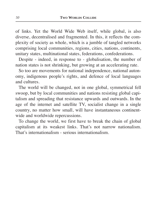of links. Yet the World Wide Web itself, while global, is also diverse, decentralised and fragmented. In this, it reflects the complexity of society as whole, which is a jumble of tangled networks comprising local communities, regions, cities, nations, continents, unitary states, multinational states, federations, confederations.

Despite - indeed, in response to - globalisation, the number of nation states is not shrinking, but growing at an accelerating rate.

So too are movements for national independence, national autonomy, indigenous people's rights, and defence of local languages and cultures.

The world will be changed, not in one global, symmetrical fell swoop, but by local communities and nations resisting global capitalism and spreading that resistance upwards and outwards. In the age of the internet and satellite TV, socialist change in a single country, no matter how small, will have instantaneous continentwide and worldwide repercussions.

To change the world, we first have to break the chain of global capitalism at its weakest links. That's not narrow nationalism. That's internationalism - serious internationalism.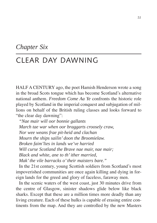#### *Chapter Six*

### CLEAR DAY DAWNING

HALF A CENTURY ago, the poet Hamish Henderson wrote a song in the broad Scots tongue which has become Scotland's alternative national anthem. *Freedom Come Aa Ye* confronts the historic role played by Scotland in the imperial conquest and subjugation of millions on behalf of the British ruling classes and looks forward to "the clear day dawning":

*"Nae mair will oor bonnie gallants March tae war when oor braggarts croosely craw, Nor wee weans frae pit-heid and clachan Mourn the ships sailin' doon the Broomielaw. Broken faim'lies in lands we've harried Will curse Scotland the Brave nae mair, nae mair; Black and white, ane to th' ither married, Mak' the vile barracks o' their maisters bare."*

In the 21st century, young Scottish soldiers from Scotland's most impoverished communities are once again killing and dying in foreign lands for the greed and glory of faceless, faraway men.

In the scenic waters of the west coast, just 30 minutes drive from the centre of Glasgow, sinister shadows glide below like black sharks. Except that these are a million times more deadly than any living creature. Each of these hulks is capable of erasing entire continents from the map. And they are controlled by the new Masters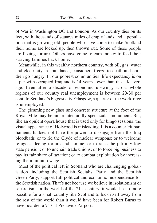of War in Washington DC and London. As our country dies on its feet, with thousands of squares miles of empty lands and a population that is growing old, people who have come to make Scotland their home are locked up, then thrown out. Some of these people are fleeing torture. Others have come to earn money to feed their starving families back home.

Meanwhile, in this wealthy northern country, with oil, gas, water and electricity in abundance, pensioners freeze to death and children go hungry. In our poorest communities, life expectancy is on a par with occupied Iraq and is 14 years lower than the UK average. Even after a decade of economic upswing, across whole regions of our country real unemployment is between 20-30 per cent. In Scotland's biggest city, Glasgow, a quarter of the workforce is unemployed.

The gleaming new glass and concrete structure at the foot of the Royal Mile may be an architecturally spectacular monument. But, like an opulent opera house that is used only for bingo sessions, the visual appearance of Holyrood is misleading. It is a counterfeit parliament. It does not have the power to disengage from the Iraq bloodbath; or to rid the Clyde of nuclear weapons; or to welcome refugees fleeing torture and famine; or to raise the pitifully low state pension; or to unchain trade unions; or to force big business to pay its fair share of taxation; or to combat exploitation by increasing the minimum wage.

Most of the political left in Scotland who are challenging globalisation, including the Scottish Socialist Party and the Scottish Green Party, support full political and economic independence for the Scottish nation. That's not because we believe in isolationism or separatism. In the world of the 21st century, it would be no more possible for a small country like Scotland to lock itself away from the rest of the world than it would have been for Robert Burns to have boarded a 747 at Prestwick Airport.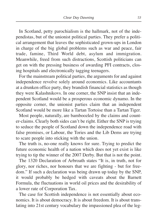In Scotland, petty parochialism is the hallmark, not of the independistas, but of the unionist political parties. They prefer a political arrangement that leaves the sophisticated grown-ups in London in charge of the big global problems such as war and peace, fair trade, famine, Third World debt, asylum and immigration. Meanwhile, freed from such distractions, Scottish politicians can get on with the pressing business of awarding PFI contracts, closing hospitals and electronically tagging teenagers.

For the mainstream political parties, the arguments for and against independence revolve solely around economics. Like accountants at a drunken office party, they brandish financial statistics as though they were Kalashnikovs. In one corner, the SNP insist that an independent Scotland would be a prosperous economic dynamo. In the opposite corner, the unionist parties claim that an independent Scotland would be more like a Tartan Tortoise than a Tartan Tiger.

Most people, naturally, are bamboozled by the claims and counter-claims. Clearly both sides can't be right. Either the SNP is trying to seduce the people of Scotland down the independence road with false promises, or Labour, the Tories and the Lib Dems are trying to scare people into sticking with the union.

The truth is, no-one really knows for sure. Trying to predict the future economic health of a nation which does not yet exist is like trying to tip the winner of the 2007 Derby. But that is not the point.

The 1320 Declaration of Arbroath states "It is, in truth, not for glory, nor riches, nor honours that we are fighting - but for freedom." If such a declaration was being drawn up today by the SNP, it would probably be hedged with caveats about the Barnett Formula, the fluctuations in world oil prices and the desirability of a lower rate of Corporation Tax.

The case for Scottish independence is not essentially about economics. It is about democracy. It is about freedom. It is about translating into 21st century vocabulary the impassioned plea of the leg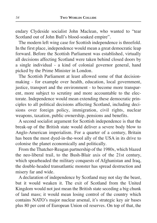endary Clydeside socialist John Maclean, who wanted to "tear Scotland out of John Bull's blood-soaked empire".

The modern left wing case for Scottish independence is threefold. In the first place, independence would mean a great democratic leap forward. Before the Scottish Parliament was established, virtually all decisions affecting Scotland were taken behind closed doors by a single individual - a kind of colonial governor general, hand picked by the Prime Minister in London.

The Scottish Parliament at least allowed some of that decisionmaking - for example over health, education, local government, justice, transport and the environment - to become more transparent, more subject to scrutiny and more accountable to the electorate. Independence would mean extending these democratic principles to all political decisions affecting Scotland, including decisions over foreign policy, immigration, civil rights, nuclear weapons, taxation, public ownership, pensions and benefits.

A second socialist argument for Scottish independence is that the break-up of the British state would deliver a severe body blow to Anglo-American imperialism. For a quarter of a century, Britain has been the most dyed-in-the-wool ally of the USA in its drive to colonise the planet economically and politically.

From the Thatcher-Reagan partnership of the 1980s, which blazed the neo-liberal trail, to the Bush-Blair axis of the 21st century, which spearheaded the military conquests of Afghanistan and Iraq, the double-headed transatlantic monster has spread destruction and misery far and wide.

A declaration of independence by Scotland may not slay the beast, but it would weaken it. The exit of Scotland from the United Kingdom would not just mean the British state seceding a big chunk of land mass; it would mean losing control of the country which contains NATO's major nuclear arsenal, it's strategic key air bases plus 80 per cent of European Union oil reserves. On top of that, the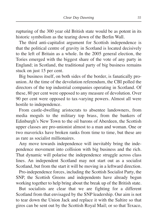rupturing of the 300 year old British state would be as potent in its historic symbolism as the tearing down of the Berlin Wall.

The third anti-capitalist argument for Scottish independence is that the political centre of gravity in Scotland is located decisively to the left of Britain as a whole. In the 2005 general election, the Tories emerged with the biggest share of the vote of any party in England; in Scotland, the traditional party of big business remains stuck on just 15 per cent.

Big business itself, on both sides of the border, is fanatically prounion. At the time of the devolution referendum, the CBI polled the directors of the top industrial companies operating in Scotland. Of these, 80 per cent were opposed to any measure of devolution. Over 90 per cent were opposed to tax-varying powers. Almost all were hostile to independence.

From castle-dwelling aristocrats to absentee landowners, from media moguls to the military top brass, from the bankers of Edinburgh's New Town to the oil barons of Aberdeen, the Scottish upper classes are pro-unionist almost to a man and woman. One or two mavericks have broken ranks from time to time, but these are as rare as socialist millionaires.

Any move towards independence will inevitably bring the independence movement into collision with big business and the rich. That dynamic will polarise the independence struggle across class lines. An independent Scotland may not start out as a socialist Scotland, but from the start it will be moving in a leftward direction.

Pro-independence forces, including the Scottish Socialist Party, the SNP, the Scottish Greens and independents have already begun working together to help bring about the break up of the British state.

But socialists are clear that we are fighting for a different Scotland from that envisaged by the SNP leadership. Our aim is not to tear down the Union Jack and replace it with the Saltire so that giros can be sent out by the Scottish Royal Mail; or so that Texaco,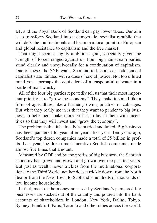BP, and the Royal Bank of Scotland can pay lower taxes. Our aim is to transform Scotland into a democratic, socialist republic that will defy the multinationals and become a focal point for European and global resistance to capitalism and the free market.

That might seem a highly ambitious goal, especially given the strength of forces ranged against us. Four big mainstream parties stand clearly and unequivocally for a continuation of capitalism. One of these, the SNP, wants Scotland to become an independent capitalist state, diluted with a dose of social justice. Not too diluted mind you - perhaps the equivalent of a teaspoonful of water in a bottle of malt whisky.

All of the four big parties repeatedly tell us that their most important priority is to "grow the economy". They make it sound like a form of agriculture, like a farmer growing potatoes or cabbages. But what they really mean is that they want to pander to big business, to help them make more profits, to lavish them with incentives so that they will invest and "grow the economy".

The problem is that it's already been tried and failed. Big business has been pandered to year after year after year. Ten years ago, Scotland's top dozen companies made a total of £5 billion in profits. Last year, the dozen most lucrative Scottish companies made almost five times that amount.

Measured by GDP and by the profits of big business, the Scottish economy has grown and grown and grown over the past ten years. But just as wealth never trickles from the multinational corporations to the Third World, neither does it trickle down from the North Sea or from the New Town to Scotland's hundreds of thousands of low income households.

In fact, most of the money amassed by Scotland's pampered big businesses are sucked out of the country and poured into the bank accounts of shareholders in London, New York, Dallas, Tokyo, Sydney, Frankfurt, Paris, Toronto and other cities across the world.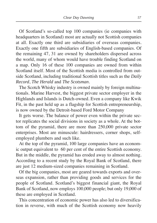Of Scotland's so-called top 100 companies (ie companies with headquarters in Scotland) most are actually not Scottish companies at all. Exactly one third are subsidiaries of overseas companies. Exactly one fifth are subsidiaries of English-based companies. Of the remaining 47, 31 are owned by shareholders dispersed across the world, many of whom would have trouble finding Scotland on a map. Only 16 of these 100 companies are owned from within Scotland itself. Most of the Scottish media is controlled from outside Scotland, including traditional Scottish titles such as the *Daily Record*, *The Herald* and *The Scotsman*.

The Scotch Whisky industry is owned mainly by foreign multinationals. Marine Harvest, the biggest private sector employer in the Highlands and Islands is Dutch-owned. Even a company like Kwik Fit, in the past held up as a flagship for Scottish entrepreneurship, is now owned by the Detroit-based Ford Motor Company

It gets worse. The balance of power even within the private sector replicates the social divisions in society as a whole. At the bottom of the pyramid, there are more than 250,000 private sector enterprises. Most are minuscule: hairdressers, corner shops, selfemployed plumbers and such like.

At the top of the pyramid, 100 large companies have an economic output equivalent to 60 per cent of the entire Scottish economy. But in the middle, the pyramid has eroded away to almost nothing. According to a recent study by the Royal Bank of Scotland, there are just 12 medium-sized companies remaining in Scotland.

Of the big companies, most are geared towards exports and overseas expansion, rather than providing goods and services for the people of Scotland. Scotland's biggest financial giant, the Royal Bank of Scotland, now employs 100,000 people; but only 19,000 of these are employed in Scotland.

This concentration of economic power has also led to diversification in reverse, with much of the Scottish economy now heavily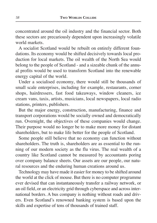concentrated around the oil industry and the financial sector. Both these sectors are precariously dependent upon increasingly volatile world markets.

A socialist Scotland would be rebuilt on entirely different foundations. Its economy would be shifted decisively towards local production for local markets. The oil wealth of the North Sea would belong to the people of Scotland - and a sizeable chunk of the annual profits would be used to transform Scotland into the renewable energy capital of the world.

Under a socialised economy, there would still be thousands of small scale enterprises, including for example, restaurants, corner shops, hairdressers, fast food takeaways, window cleaners, ice cream vans, taxis, artists, musicians, local newspapers, local radio stations, printers, publishers.

But the major energy, construction, manufacturing, finance and transport corporations would be socially owned and democratically run. Overnight, the objectives of these companies would change. Their purpose would no longer be to make more money for distant shareholders, but to make life better for the people of Scotland.

Some people still believe that no economy can function without shareholders. The truth is, shareholders are as essential to the running of our modern society as the flu virus. The real wealth of a country like Scotland cannot be measured by accountants poring over company balance sheets. Our assets are our people, our natural resources and the enduring human creations around us.

Technology may have made it easier for money to be shifted around the world at the click of mouse. But there is no computer programme ever devised that can instantaneously transfer a railway network, or an oil field, or an electricity grid through cyberspace and across international borders. A bus company is nothing without roads and drivers. Even Scotland's renowned banking system is based upon the skills and expertise of tens of thousands of trained staff.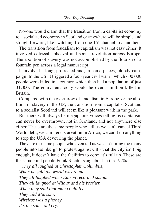No-one would claim that the transition from a capitalist economy to a socialised economy in Scotland or anywhere will be simple and straightforward, like switching from one TV channel to a another.

The transition from feudalism to capitalism was not easy either. It involved colossal upheaval and social revolution across Europe. The abolition of slavery was not accomplished by the flourish of a fountain pen across a legal manuscript.

It involved a long, protracted and, in some places, bloody campaign. In the US, it triggered a four-year civil war in which 600,000 people were killed in a country which then had a population of just 31,000. The equivalent today would be over a million killed in Britain.

Compared with the overthrow of feudalism in Europe, or the abolition of slavery in the US, the transition from a capitalist Scotland to a socialist Scotland will seem like a pleasant walk in the park.

But there will always be megaphone voices telling us capitalism can never be overthrown, not in Scotland, and not anywhere else either. These are the same people who tell us we can't cancel Third World debt, we can't end starvation in Africa, we can't do anything to stop the USA devouring the planet.

They are the same people who even tell us we can't bring too many people into Edinburgh to protest against G8 - that the city isn't big enough, it doesn't have the facilities to cope, it's full up. These are the same kind people Frank Sinatra sang about in the 1970s:

*"They all laughed at Christopher Columbus, When he said the world was round. They all laughed when Edison recorded sound. They all laughed at Wilbur and his brother, When they said that man could fly. They told Marconi, Wireless was a phoney. It's the same old cry."*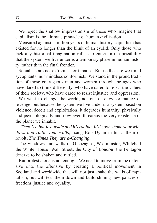We reject the shallow impressionism of those who imagine that capitalism is the ultimate pinnacle of human civilisation.

Measured against a million years of human history, capitalism has existed for no longer than the blink of an eyelid. Only those who lack any historical imagination refuse to entertain the possibility that the system we live under is a temporary phase in human history, rather than the final frontier.

Socialists are not extremists or fanatics. But neither are we timid sycophants, nor mindless conformists. We stand in the proud tradition of those courageous men and women through the ages who have dared to think differently, who have dared to reject the values of their society, who have dared to resist injustice and oppression.

We want to change the world, not out of envy, or malice or revenge, but because the system we live under is a system based on violence, deceit and exploitation. It degrades humanity, physically and psychologically and now even threatens the very existence of the planet we inhabit.

"*There's a battle outside and it's raging. It'll soon shake your windows and rattle your walls*," sang Bob Dylan in his anthem of revolt, *The Times They are a-Changing*.

The windows and walls of Gleneagles, Westminster, Whitehall the White House, Wall Street, the City of London, the Pentagon deserve to be shaken and rattled.

But protest alone is not enough. We need to move from the defensive onto the offensive by creating a political movement in Scotland and worldwide that will not just shake the walls of capitalism, but will tear them down and build shining new palaces of freedom, justice and equality.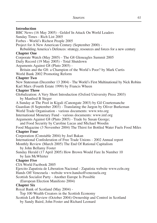#### **Introduction**

BBC News (16 May 2005) - Geldof In Attack On World Leaders

- Sunday Times Rich List 2005
- Forbes World's Richest People 2005

Project for A New American Century (September 2000) -

Rebuilding America's Defences: strategy, resources and forces for a new century

#### **Chapter One**

Corporate Watch (May 2005) - The G8 Gleneagles Summit 2005

- Daily Record (19 May 2005) Total Shutdown
- Arguments Against G8 (Pluto 2005) -
- Britain and the G8: a Champion of the World's Poor? by Mark Curtis World Bank 2002 Promoting Reform

#### **Chapter Two**

New Statesman (December 13 2004) - The World's First Multinational by Nick Robins Karl Marx (Fourth Estate 1999) by Francis Wheen

#### **Chapter Three**

Globalization: A Very Short Introduction (Oxford University Press 2003) by Manfred B Steger

A Sunday at The Pool in Kigali (Canongate 2003) by Gil Courtemanche

Guardian (8 September 2003) - Translating the Jargon by Oliver Burkeman

World Trade Organisation - various documents: www.wto.org

International Monetary Fund - various documents: www.imf.org

Arguments Against G8 (Pluto 2005) - Trade by Susan George;

and Food Security by Caroline Lucas and Michael Woodin

Food Magazine (3 November 2004) The Thirst for Bottled Water Fuels Food Miles

#### **Chapter Four**

Corporation (Constable 2004) by Joel Bakan

International Confederation of Free Trade Unions - 2002 Annual report

Monthly Review (March 2005) The End Of Rational Capitalism by John Bellamy Foster

Sunday Herald (17 April 2005) How Brown Would Fare In Number 10 by Iain McWhirter

#### **Chapter Five**

CIA World Factbook 2005

Ejercito Zapatista de Liberation Nacional - Zapatista website www.ezln.org Hands Off Venezuela - website www.handsoffvenezuela.org

Scottish Socialist Party - Another Europe Is Possible

(European Election Manifesto 2004)

#### **Chapter Six**

Royal Bank of Scotland (May 2004) -

Top 100 Wealth Creators in the Scottish Economy

- Scottish Left Review (October 2004) Ownership and Control in Scotland
	- by Sandy Baird, John Foster and Richard Leonard